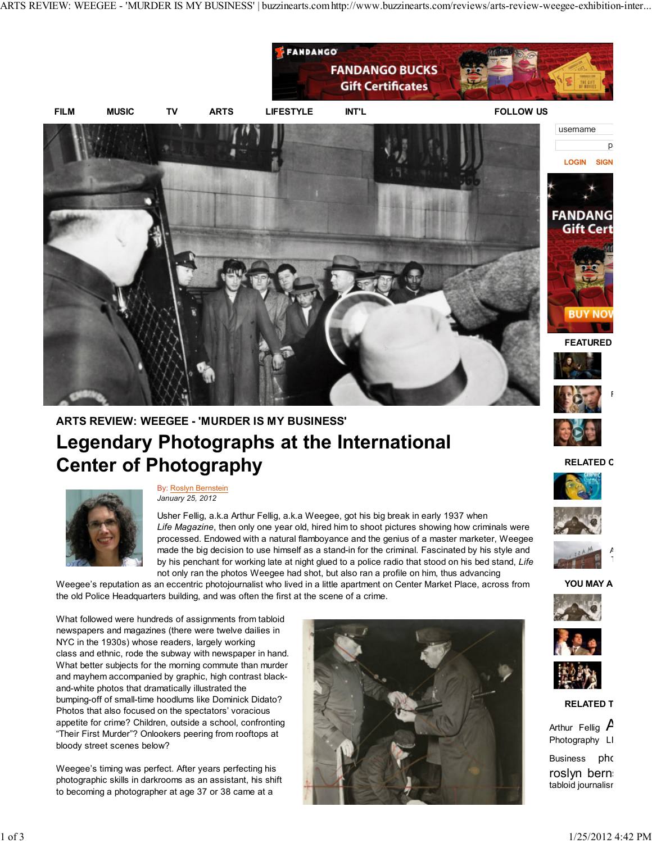

## ARTS REVIEW: WEEGEE - 'MURDER IS MY BUSINESS' Legendary Photographs at the International Center of Photography



By: Roslyn Bernstein January 25, 2012

Usher Fellig, a.k.a Arthur Fellig, a.k.a Weegee, got his big break in early 1937 when Life Magazine, then only one year old, hired him to shoot pictures showing how criminals were processed. Endowed with a natural flamboyance and the genius of a master marketer, Weegee made the big decision to use himself as a stand-in for the criminal. Fascinated by his style and by his penchant for working late at night glued to a police radio that stood on his bed stand, Life not only ran the photos Weegee had shot, but also ran a profile on him, thus advancing

Weegee's reputation as an eccentric photojournalist who lived in a little apartment on Center Market Place, across from the old Police Headquarters building, and was often the first at the scene of a crime.

What followed were hundreds of assignments from tabloid newspapers and magazines (there were twelve dailies in NYC in the 1930s) whose readers, largely working class and ethnic, rode the subway with newspaper in hand. What better subjects for the morning commute than murder and mayhem accompanied by graphic, high contrast blackand-white photos that dramatically illustrated the bumping-off of small-time hoodlums like Dominick Didato? Photos that also focused on the spectators' voracious appetite for crime? Children, outside a school, confronting "Their First Murder"? Onlookers peering from rooftops at bloody street scenes below?

Weegee's timing was perfect. After years perfecting his photographic skills in darkrooms as an assistant, his shift to becoming a photographer at age 37 or 38 came at a







Film interview:

 $p<sub>a</sub>$ 

 $\overline{P}$ THE WORKERS AT MA













**RELATED T** 

Arthur Fellig  $$ Photography LI Business pho roslyn berns tabloid journalisr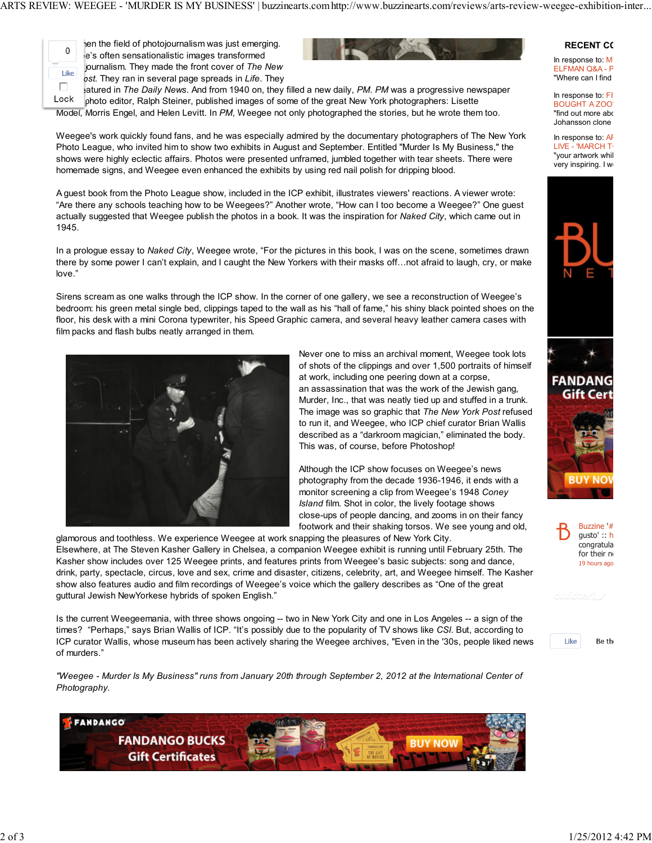ARTS REVIEW: WEEGEE - 'MURDER IS MY BUSINESS' | buzzinearts.comhttp://www.buzzinearts.com/reviews/arts-review-weegee-exhibition-inter...



 $\overline{0}$  hen the field of photojournalism was just emerging. e's often sensationalistic images transformed  $t$  ike purnalism. They made the front cover of The New  $\overline{S}$  ost. They ran in several page spreads in Life. They



atured in The Daily News. And from 1940 on, they filled a new daily, PM. PM was a progressive newspaper Lock photo editor, Ralph Steiner, published images of some of the great New York photographers: Lisette Model, Morris Engel, and Helen Levitt. In PM, Weegee not only photographed the stories, but he wrote them too.

Weegee's work quickly found fans, and he was especially admired by the documentary photographers of The New York Photo League, who invited him to show two exhibits in August and September. Entitled "Murder Is My Business," the shows were highly eclectic affairs. Photos were presented unframed, jumbled together with tear sheets. There were homemade signs, and Weegee even enhanced the exhibits by using red nail polish for dripping blood.

A guest book from the Photo League show, included in the ICP exhibit, illustrates viewers' reactions. A viewer wrote: "Are there any schools teaching how to be Weegees?" Another wrote, "How can I too become a Weegee?" One guest actually suggested that Weegee publish the photos in a book. It was the inspiration for Naked City, which came out in 1945.

In a prologue essay to Naked City, Weegee wrote, "For the pictures in this book, I was on the scene, sometimes drawn there by some power I can't explain, and I caught the New Yorkers with their masks off...not afraid to laugh, cry, or make love."

Sirens scream as one walks through the ICP show. In the corner of one gallery, we see a reconstruction of Weegee's bedroom: his green metal single bed, clippings taped to the wall as his "hall of fame," his shiny black pointed shoes on the floor, his desk with a mini Corona typewriter, his Speed Graphic camera, and several heavy leather camera cases with film packs and flash bulbs neatly arranged in them.



Never one to miss an archival moment, Weegee took lots of shots of the clippings and over 1,500 portraits of himself at work, including one peering down at a corpse, an assassination that was the work of the Jewish gang, Murder, Inc., that was neatly tied up and stuffed in a trunk. The image was so graphic that The New York Post refused to run it, and Weegee, who ICP chief curator Brian Wallis described as a "darkroom magician," eliminated the body. This was, of course, before Photoshop!

Although the ICP show focuses on Weegee's news photography from the decade 1936-1946, it ends with a monitor screening a clip from Weegee's 1948 Coney Island film. Shot in color, the lively footage shows close-ups of people dancing, and zooms in on their fancy footwork and their shaking torsos. We see young and old,

glamorous and toothless. We experience Weegee at work snapping the pleasures of New York City. Elsewhere, at The Steven Kasher Gallery in Chelsea, a companion Weegee exhibit is running until February 25th. The Kasher show includes over 125 Weegee prints, and features prints from Weegee's basic subjects: song and dance, drink, party, spectacle, circus, love and sex, crime and disaster, citizens, celebrity, art, and Weegee himself. The Kasher show also features audio and film recordings of Weegee's voice which the gallery describes as "One of the great guttural Jewish NewYorkese hybrids of spoken English."

Is the current Weegeemania, with three shows ongoing -- two in New York City and one in Los Angeles -- a sign of the times? "Perhaps," says Brian Wallis of ICP. "It's possibly due to the popularity of TV shows like CSI. But, according to ICP curator Wallis, whose museum has been actively sharing the Weegee archives, "Even in the '30s, people liked news of murders."

"Weegee - Murder Is My Business" runs from January 20th through September 2, 2012 at the International Center of Photography.



## **RECENT CO**

In response to:  $M$ ELFMAN Q&A - P "Where can I find

In response to:  $FI$ BOUGHT A ZOO' "find out more abo Johansson clone

In response to:  $AF$ LIVE - 'MARCH T "your artwork whil very inspiring. I w







Like Be the